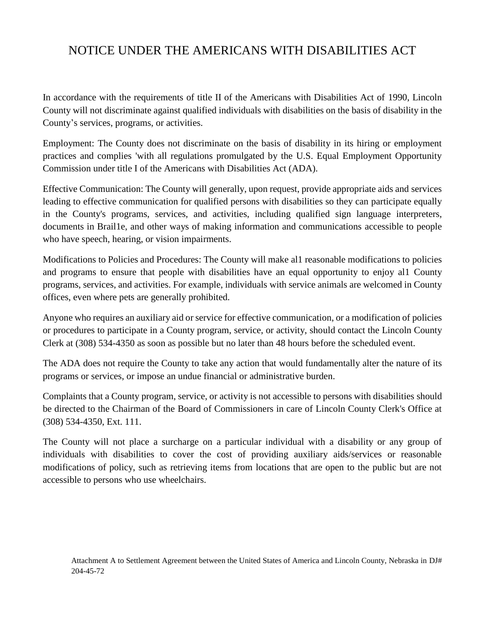## NOTICE UNDER THE AMERICANS WITH DISABILITIES ACT

In accordance with the requirements of title II of the Americans with Disabilities Act of 1990, Lincoln County will not discriminate against qualified individuals with disabilities on the basis of disability in the County's services, programs, or activities.

Employment: The County does not discriminate on the basis of disability in its hiring or employment practices and complies 'with all regulations promulgated by the U.S. Equal Employment Opportunity Commission under title I of the Americans with Disabilities Act (ADA).

Effective Communication: The County will generally, upon request, provide appropriate aids and services leading to effective communication for qualified persons with disabilities so they can participate equally in the County's programs, services, and activities, including qualified sign language interpreters, documents in Brail1e, and other ways of making information and communications accessible to people who have speech, hearing, or vision impairments.

Modifications to Policies and Procedures: The County will make al1 reasonable modifications to policies and programs to ensure that people with disabilities have an equal opportunity to enjoy al1 County programs, services, and activities. For example, individuals with service animals are welcomed in County offices, even where pets are generally prohibited.

Anyone who requires an auxiliary aid or service for effective communication, or a modification of policies or procedures to participate in a County program, service, or activity, should contact the Lincoln County Clerk at (308) 534-4350 as soon as possible but no later than 48 hours before the scheduled event.

The ADA does not require the County to take any action that would fundamentally alter the nature of its programs or services, or impose an undue financial or administrative burden.

Complaints that a County program, service, or activity is not accessible to persons with disabilities should be directed to the Chairman of the Board of Commissioners in care of Lincoln County Clerk's Office at (308) 534-4350, Ext. 111.

The County will not place a surcharge on a particular individual with a disability or any group of individuals with disabilities to cover the cost of providing auxiliary aids/services or reasonable modifications of policy, such as retrieving items from locations that are open to the public but are not accessible to persons who use wheelchairs.